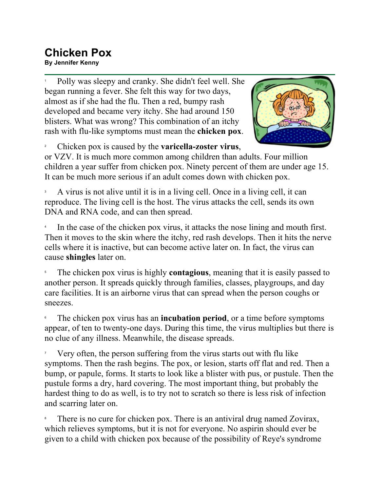## **Chicken Pox**

**By Jennifer Kenny**

1 Polly was sleepy and cranky. She didn't feel well. She began running a fever. She felt this way for two days, almost as if she had the flu. Then a red, bumpy rash developed and became very itchy. She had around 150 blisters. What was wrong? This combination of an itchy rash with flu-like symptoms must mean the **chicken pox**.



2 Chicken pox is caused by the **varicella-zoster virus**,

or VZV. It is much more common among children than adults. Four million children a year suffer from chicken pox. Ninety percent of them are under age 15. It can be much more serious if an adult comes down with chicken pox.

3 A virus is not alive until it is in a living cell. Once in a living cell, it can reproduce. The living cell is the host. The virus attacks the cell, sends its own DNA and RNA code, and can then spread.

4 In the case of the chicken pox virus, it attacks the nose lining and mouth first. Then it moves to the skin where the itchy, red rash develops. Then it hits the nerve cells where it is inactive, but can become active later on. In fact, the virus can cause **shingles** later on.

5 The chicken pox virus is highly **contagious**, meaning that it is easily passed to another person. It spreads quickly through families, classes, playgroups, and day care facilities. It is an airborne virus that can spread when the person coughs or sneezes.

6 The chicken pox virus has an **incubation period**, or a time before symptoms appear, of ten to twenty-one days. During this time, the virus multiplies but there is no clue of any illness. Meanwhile, the disease spreads.

7 Very often, the person suffering from the virus starts out with flu like symptoms. Then the rash begins. The pox, or lesion, starts off flat and red. Then a bump, or papule, forms. It starts to look like a blister with pus, or pustule. Then the pustule forms a dry, hard covering. The most important thing, but probably the hardest thing to do as well, is to try not to scratch so there is less risk of infection and scarring later on.

8 There is no cure for chicken pox. There is an antiviral drug named Zovirax, which relieves symptoms, but it is not for everyone. No aspirin should ever be given to a child with chicken pox because of the possibility of Reye's syndrome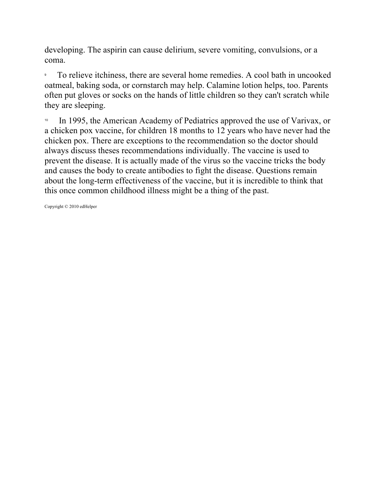developing. The aspirin can cause delirium, severe vomiting, convulsions, or a coma.

9 To relieve itchiness, there are several home remedies. A cool bath in uncooked oatmeal, baking soda, or cornstarch may help. Calamine lotion helps, too. Parents often put gloves or socks on the hands of little children so they can't scratch while they are sleeping.

<sup>10</sup> In 1995, the American Academy of Pediatrics approved the use of Varivax, or a chicken pox vaccine, for children 18 months to 12 years who have never had the chicken pox. There are exceptions to the recommendation so the doctor should always discuss theses recommendations individually. The vaccine is used to prevent the disease. It is actually made of the virus so the vaccine tricks the body and causes the body to create antibodies to fight the disease. Questions remain about the long-term effectiveness of the vaccine, but it is incredible to think that this once common childhood illness might be a thing of the past.

Copyright © 2010 edHelper